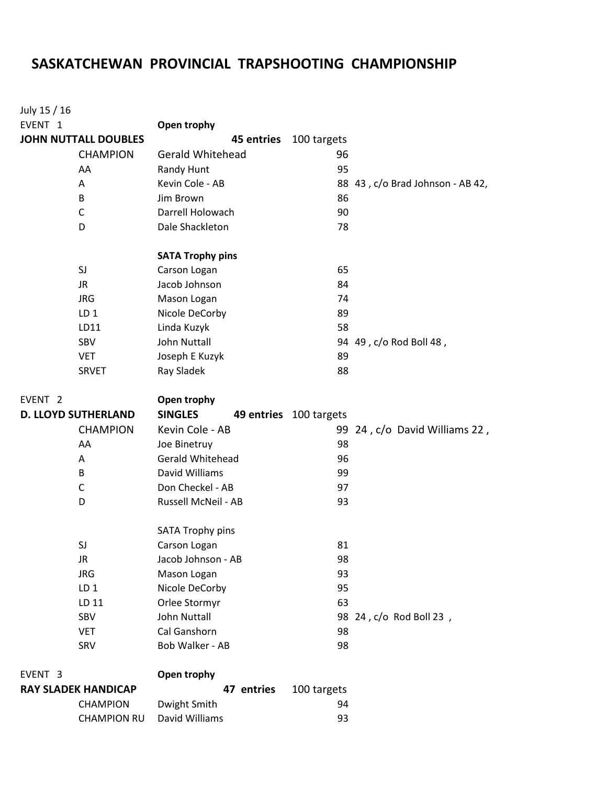## **SASKATCHEWAN PROVINCIAL TRAPSHOOTING CHAMPIONSHIP**

| July 15 / 16                |                            |                         |                        |                                  |
|-----------------------------|----------------------------|-------------------------|------------------------|----------------------------------|
| EVENT <sub>1</sub>          |                            | Open trophy             |                        |                                  |
| <b>JOHN NUTTALL DOUBLES</b> |                            | 45 entries              | 100 targets            |                                  |
|                             | <b>CHAMPION</b>            | <b>Gerald Whitehead</b> | 96                     |                                  |
|                             | AA                         | <b>Randy Hunt</b>       | 95                     |                                  |
|                             | Α                          | Kevin Cole - AB         |                        | 88 43, c/o Brad Johnson - AB 42, |
|                             | B                          | Jim Brown               | 86                     |                                  |
|                             | C                          | Darrell Holowach        | 90                     |                                  |
|                             | D                          | Dale Shackleton         | 78                     |                                  |
|                             |                            | <b>SATA Trophy pins</b> |                        |                                  |
|                             | SJ                         | Carson Logan            | 65                     |                                  |
|                             | JR.                        | Jacob Johnson           | 84                     |                                  |
|                             | <b>JRG</b>                 | Mason Logan             | 74                     |                                  |
|                             | LD <sub>1</sub>            | Nicole DeCorby          | 89                     |                                  |
|                             | LD11                       | Linda Kuzyk             | 58                     |                                  |
|                             | SBV                        | <b>John Nuttall</b>     |                        | 94 49, c/o Rod Boll 48,          |
|                             | <b>VET</b>                 | Joseph E Kuzyk          | 89                     |                                  |
|                             | <b>SRVET</b>               | Ray Sladek              | 88                     |                                  |
| EVENT <sub>2</sub>          |                            | Open trophy             |                        |                                  |
|                             | <b>D. LLOYD SUTHERLAND</b> | <b>SINGLES</b>          | 49 entries 100 targets |                                  |
|                             | <b>CHAMPION</b>            | Kevin Cole - AB         |                        | 99 24, c/o David Williams 22,    |
|                             | AA                         | Joe Binetruy            | 98                     |                                  |
|                             | Α                          | Gerald Whitehead        | 96                     |                                  |
|                             | B                          | David Williams          | 99                     |                                  |
|                             | C                          | Don Checkel - AB        | 97                     |                                  |
| D                           |                            | Russell McNeil - AB     | 93                     |                                  |
|                             |                            | <b>SATA Trophy pins</b> |                        |                                  |
|                             | SJ                         | Carson Logan            | 81                     |                                  |
|                             | JR.                        | Jacob Johnson - AB      | 98                     |                                  |
|                             | <b>JRG</b>                 | Mason Logan             | 93                     |                                  |
|                             | LD <sub>1</sub>            | Nicole DeCorby          | 95                     |                                  |
|                             | LD 11                      | Orlee Stormyr           | 63                     |                                  |
|                             | SBV                        | <b>John Nuttall</b>     |                        | 98 24, c/o Rod Boll 23,          |
|                             | <b>VET</b>                 | Cal Ganshorn            | 98                     |                                  |
|                             | SRV                        | Bob Walker - AB         | 98                     |                                  |
| EVENT <sub>3</sub>          |                            | Open trophy             |                        |                                  |
| <b>RAY SLADEK HANDICAP</b>  |                            | 47 entries              | 100 targets            |                                  |
|                             | <b>CHAMPION</b>            | Dwight Smith            | 94                     |                                  |
|                             | <b>CHAMPION RU</b>         | David Williams          | 93                     |                                  |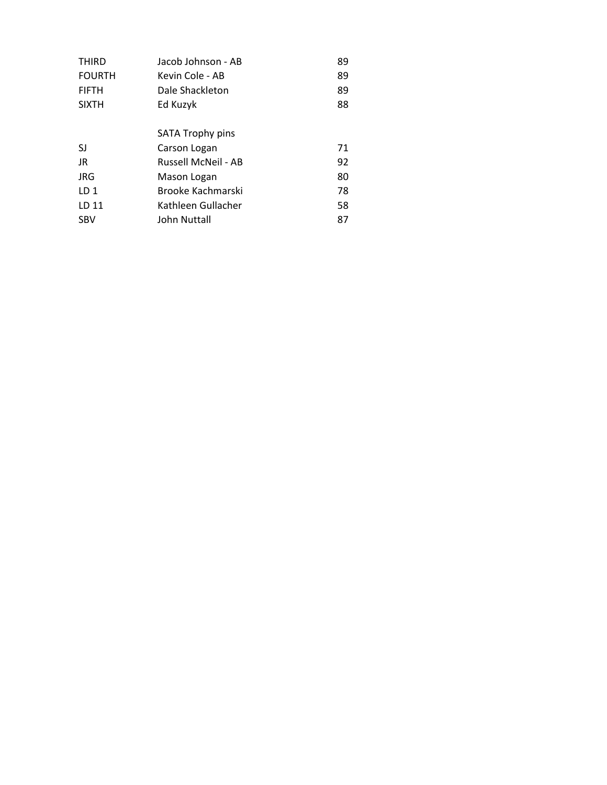| <b>THIRD</b>    | Jacob Johnson - AB         | 89 |
|-----------------|----------------------------|----|
| <b>FOURTH</b>   | Kevin Cole - AB            | 89 |
| <b>FIFTH</b>    | Dale Shackleton            | 89 |
| <b>SIXTH</b>    | Ed Kuzyk                   | 88 |
|                 |                            |    |
|                 | SATA Trophy pins           |    |
| SJ              | Carson Logan               | 71 |
| JR              | <b>Russell McNeil - AB</b> | 92 |
| JRG             | Mason Logan                | 80 |
| LD <sub>1</sub> | Brooke Kachmarski          | 78 |
| LD 11           | Kathleen Gullacher         | 58 |
| <b>SBV</b>      | John Nuttall               | 87 |
|                 |                            |    |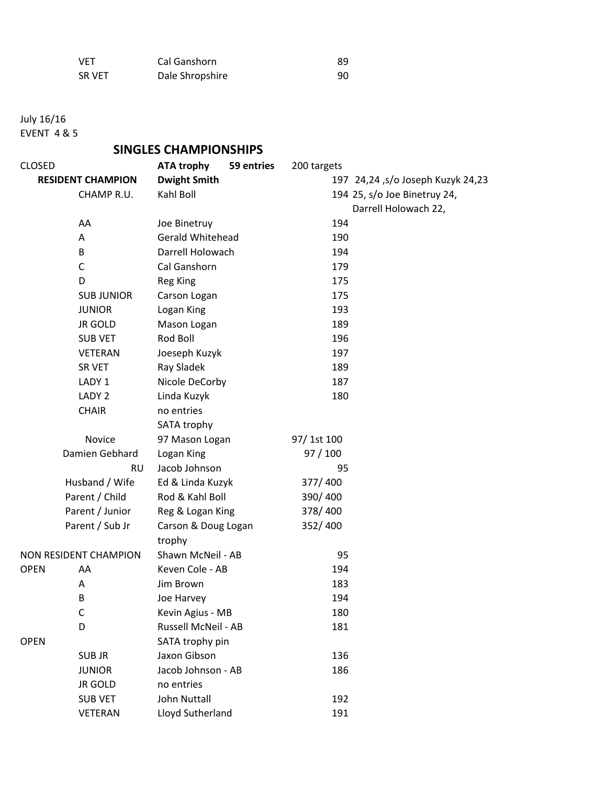| <b>VET</b> | Cal Ganshorn    | 89 |
|------------|-----------------|----|
| SR VET     | Dale Shropshire | 90 |

July 16/16

EVENT 4 & 5

## **SINGLES CHAMPIONSHIPS**

| <b>CLOSED</b>            |                       | <b>ATA trophy</b>       | 59 entries | 200 targets |                                   |
|--------------------------|-----------------------|-------------------------|------------|-------------|-----------------------------------|
| <b>RESIDENT CHAMPION</b> |                       | <b>Dwight Smith</b>     |            |             | 197 24,24 ,s/o Joseph Kuzyk 24,23 |
|                          | CHAMP R.U.            | Kahl Boll               |            |             | 194 25, s/o Joe Binetruy 24,      |
|                          |                       |                         |            |             | Darrell Holowach 22,              |
|                          | AA                    | Joe Binetruy            |            | 194         |                                   |
|                          | Α                     | <b>Gerald Whitehead</b> |            | 190         |                                   |
|                          | B                     | Darrell Holowach        |            | 194         |                                   |
|                          | $\mathsf C$           | Cal Ganshorn            |            | 179         |                                   |
|                          | D                     | <b>Reg King</b>         |            | 175         |                                   |
|                          | <b>SUB JUNIOR</b>     | Carson Logan            |            | 175         |                                   |
|                          | <b>JUNIOR</b>         | Logan King              |            | 193         |                                   |
|                          | <b>JR GOLD</b>        | Mason Logan             |            | 189         |                                   |
|                          | <b>SUB VET</b>        | Rod Boll                |            | 196         |                                   |
|                          | VETERAN               | Joeseph Kuzyk           |            | 197         |                                   |
|                          | <b>SR VET</b>         | Ray Sladek              |            | 189         |                                   |
|                          | LADY 1                | Nicole DeCorby          |            | 187         |                                   |
|                          | LADY 2                | Linda Kuzyk             |            | 180         |                                   |
|                          | <b>CHAIR</b>          | no entries              |            |             |                                   |
|                          |                       | SATA trophy             |            |             |                                   |
|                          | Novice                | 97 Mason Logan          |            | 97/1st 100  |                                   |
|                          | Damien Gebhard        | Logan King              |            | 97/100      |                                   |
|                          | <b>RU</b>             | Jacob Johnson           |            | 95          |                                   |
|                          | Husband / Wife        | Ed & Linda Kuzyk        |            | 377/400     |                                   |
|                          | Parent / Child        | Rod & Kahl Boll         |            | 390/400     |                                   |
|                          | Parent / Junior       | Reg & Logan King        |            | 378/400     |                                   |
|                          | Parent / Sub Jr       | Carson & Doug Logan     |            | 352/400     |                                   |
|                          |                       | trophy                  |            |             |                                   |
|                          | NON RESIDENT CHAMPION | Shawn McNeil - AB       |            | 95          |                                   |
| <b>OPEN</b>              | AA                    | Keven Cole - AB         |            | 194         |                                   |
|                          | Α                     | Jim Brown               |            | 183         |                                   |
|                          | B                     | Joe Harvey              |            | 194         |                                   |
|                          | C                     | Kevin Agius - MB        |            | 180         |                                   |
|                          | D                     | Russell McNeil - AB     |            | 181         |                                   |
| <b>OPEN</b>              |                       | SATA trophy pin         |            |             |                                   |
|                          | <b>SUBJR</b>          | Jaxon Gibson            |            | 136         |                                   |
|                          | <b>JUNIOR</b>         | Jacob Johnson - AB      |            | 186         |                                   |
|                          | <b>JR GOLD</b>        | no entries              |            |             |                                   |
|                          | <b>SUB VET</b>        | <b>John Nuttall</b>     |            | 192         |                                   |
|                          | VETERAN               | Lloyd Sutherland        |            | 191         |                                   |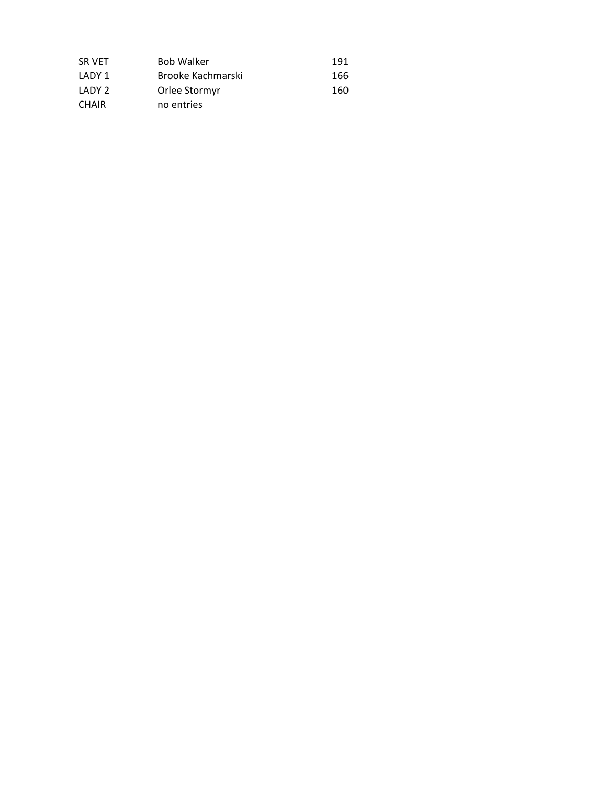| SR VET       | <b>Bob Walker</b> | 191 |
|--------------|-------------------|-----|
| LADY 1       | Brooke Kachmarski | 166 |
| LADY 2       | Orlee Stormyr     | 160 |
| <b>CHAIR</b> | no entries        |     |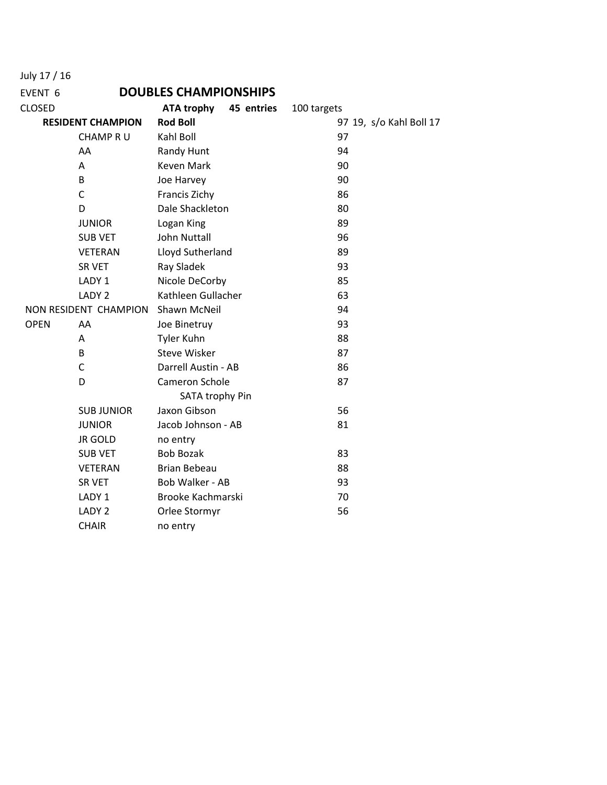July 17 / 16

## EVENT 6 **DOUBLES CHAMPIONSHIPS**

| <b>CLOSED</b>            |                       | <b>ATA trophy</b>   | 45 entries | 100 targets |    |                         |
|--------------------------|-----------------------|---------------------|------------|-------------|----|-------------------------|
| <b>RESIDENT CHAMPION</b> |                       | <b>Rod Boll</b>     |            |             |    | 97 19, s/o Kahl Boll 17 |
|                          | <b>CHAMP R U</b>      | Kahl Boll           |            |             | 97 |                         |
|                          | AA                    | Randy Hunt          |            |             | 94 |                         |
|                          | Α                     | <b>Keven Mark</b>   |            |             | 90 |                         |
|                          | B                     | Joe Harvey          |            |             | 90 |                         |
|                          | C                     | Francis Zichy       |            |             | 86 |                         |
|                          | D                     | Dale Shackleton     |            |             | 80 |                         |
|                          | <b>JUNIOR</b>         | Logan King          |            |             | 89 |                         |
|                          | <b>SUB VET</b>        | <b>John Nuttall</b> |            |             | 96 |                         |
|                          | <b>VETERAN</b>        | Lloyd Sutherland    |            |             | 89 |                         |
|                          | SR VET                | Ray Sladek          |            |             | 93 |                         |
|                          | LADY 1                | Nicole DeCorby      |            |             | 85 |                         |
|                          | LADY 2                | Kathleen Gullacher  |            |             | 63 |                         |
|                          | NON RESIDENT CHAMPION | Shawn McNeil        |            |             | 94 |                         |
| <b>OPEN</b>              | AA                    | Joe Binetruy        |            |             | 93 |                         |
|                          | A                     | <b>Tyler Kuhn</b>   |            |             | 88 |                         |
|                          | B                     | <b>Steve Wisker</b> |            |             | 87 |                         |
|                          | C                     | Darrell Austin - AB |            |             | 86 |                         |
|                          | D                     | Cameron Schole      |            |             | 87 |                         |
|                          |                       | SATA trophy Pin     |            |             |    |                         |
|                          | <b>SUB JUNIOR</b>     | Jaxon Gibson        |            |             | 56 |                         |
|                          | <b>JUNIOR</b>         | Jacob Johnson - AB  |            |             | 81 |                         |
|                          | <b>JR GOLD</b>        | no entry            |            |             |    |                         |
|                          | <b>SUB VET</b>        | <b>Bob Bozak</b>    |            |             | 83 |                         |
|                          | <b>VETERAN</b>        | <b>Brian Bebeau</b> |            |             | 88 |                         |
|                          | SR VET                | Bob Walker - AB     |            |             | 93 |                         |
|                          | LADY 1                | Brooke Kachmarski   |            |             | 70 |                         |
|                          | LADY 2                | Orlee Stormyr       |            |             | 56 |                         |
|                          | <b>CHAIR</b>          | no entry            |            |             |    |                         |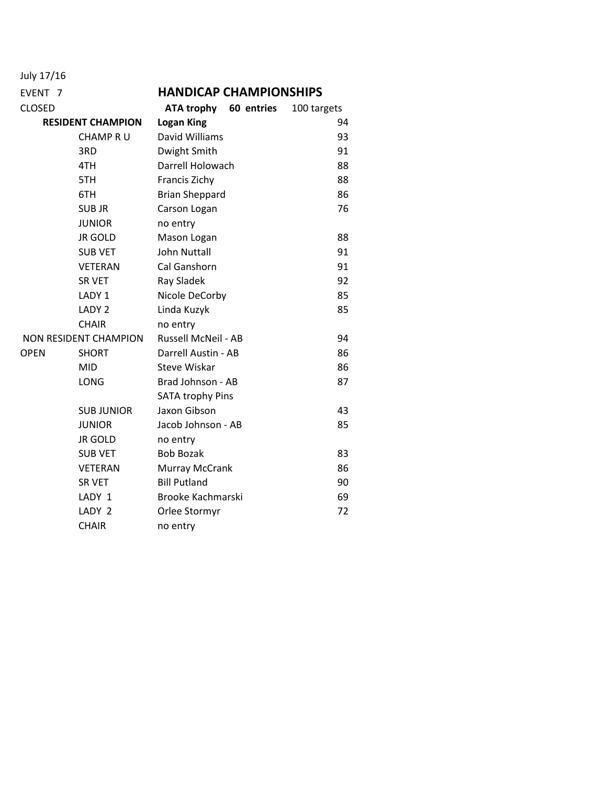| July 17/16            |                          |                                 |             |  |  |
|-----------------------|--------------------------|---------------------------------|-------------|--|--|
| EVENT <sub>7</sub>    |                          | <b>HANDICAP CHAMPIONSHIPS</b>   |             |  |  |
| CLOSED                |                          | <b>ATA trophy</b><br>60 entries | 100 targets |  |  |
|                       | <b>RESIDENT CHAMPION</b> | <b>Logan King</b>               | 94          |  |  |
|                       | <b>CHAMP R U</b>         | David Williams                  | 93          |  |  |
|                       | 3RD                      | Dwight Smith                    | 91          |  |  |
|                       | 4TH                      | Darrell Holowach                | 88          |  |  |
|                       | 5TH                      | Francis Zichy                   | 88          |  |  |
|                       | 6TH                      | <b>Brian Sheppard</b>           | 86          |  |  |
|                       | SUB JR                   | Carson Logan                    | 76          |  |  |
|                       | <b>JUNIOR</b>            | no entry                        |             |  |  |
|                       | <b>JR GOLD</b>           | Mason Logan                     | 88          |  |  |
|                       | <b>SUB VET</b>           | <b>John Nuttall</b>             | 91          |  |  |
|                       | <b>VETERAN</b>           | Cal Ganshorn                    | 91          |  |  |
|                       | <b>SR VET</b>            | Ray Sladek                      | 92          |  |  |
|                       | LADY 1                   | Nicole DeCorby                  | 85          |  |  |
|                       | LADY <sub>2</sub>        | Linda Kuzyk                     | 85          |  |  |
|                       | <b>CHAIR</b>             | no entry                        |             |  |  |
| NON RESIDENT CHAMPION |                          | <b>Russell McNeil - AB</b>      | 94          |  |  |
| OPEN<br><b>SHORT</b>  |                          | Darrell Austin - AB             | 86          |  |  |
|                       | MID                      | <b>Steve Wiskar</b>             | 86          |  |  |
|                       | <b>LONG</b>              | Brad Johnson - AB               | 87          |  |  |
|                       |                          | <b>SATA trophy Pins</b>         |             |  |  |
|                       | <b>SUB JUNIOR</b>        | Jaxon Gibson                    | 43          |  |  |
|                       | <b>JUNIOR</b>            | Jacob Johnson - AB              | 85          |  |  |
|                       | <b>JR GOLD</b>           | no entry                        |             |  |  |
|                       | <b>SUB VET</b>           | <b>Bob Bozak</b>                | 83          |  |  |
|                       | VETERAN                  | Murray McCrank                  | 86          |  |  |
|                       | <b>SR VET</b>            | <b>Bill Putland</b>             | 90          |  |  |
|                       | LADY 1                   | <b>Brooke Kachmarski</b>        | 69          |  |  |
|                       | LADY 2                   | Orlee Stormyr                   | 72          |  |  |
|                       | <b>CHAIR</b>             | no entry                        |             |  |  |
|                       |                          |                                 |             |  |  |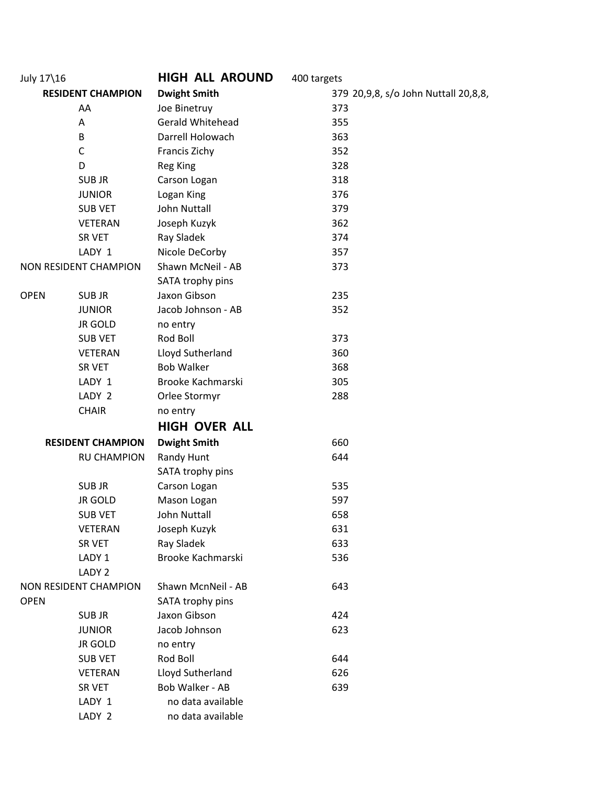| July 17\16               |                          | <b>HIGH ALL AROUND</b> | 400 targets                          |
|--------------------------|--------------------------|------------------------|--------------------------------------|
| <b>RESIDENT CHAMPION</b> |                          | <b>Dwight Smith</b>    | 379 20,9,8, s/o John Nuttall 20,8,8, |
| AA                       |                          | Joe Binetruy           | 373                                  |
|                          | Α                        | Gerald Whitehead       | 355                                  |
|                          | B                        | Darrell Holowach       | 363                                  |
|                          | $\mathsf C$              | Francis Zichy          | 352                                  |
|                          | D                        | <b>Reg King</b>        | 328                                  |
|                          | <b>SUBJR</b>             | Carson Logan           | 318                                  |
|                          | <b>JUNIOR</b>            | Logan King             | 376                                  |
|                          | <b>SUB VET</b>           | John Nuttall           | 379                                  |
|                          | <b>VETERAN</b>           | Joseph Kuzyk           | 362                                  |
|                          | SR VET                   | Ray Sladek             | 374                                  |
|                          | LADY 1                   | Nicole DeCorby         | 357                                  |
|                          | NON RESIDENT CHAMPION    | Shawn McNeil - AB      | 373                                  |
|                          |                          | SATA trophy pins       |                                      |
| <b>OPEN</b>              | <b>SUBJR</b>             | Jaxon Gibson           | 235                                  |
|                          | <b>JUNIOR</b>            | Jacob Johnson - AB     | 352                                  |
|                          | <b>JR GOLD</b>           | no entry               |                                      |
|                          | <b>SUB VET</b>           | Rod Boll               | 373                                  |
|                          | <b>VETERAN</b>           | Lloyd Sutherland       | 360                                  |
|                          | SR VET                   | <b>Bob Walker</b>      | 368                                  |
|                          | LADY 1                   | Brooke Kachmarski      | 305                                  |
|                          | LADY 2                   | Orlee Stormyr          | 288                                  |
|                          | <b>CHAIR</b>             | no entry               |                                      |
|                          |                          | <b>HIGH OVER ALL</b>   |                                      |
|                          | <b>RESIDENT CHAMPION</b> | <b>Dwight Smith</b>    | 660                                  |
|                          | <b>RU CHAMPION</b>       | Randy Hunt             | 644                                  |
|                          |                          | SATA trophy pins       |                                      |
|                          | <b>SUBJR</b>             | Carson Logan           | 535                                  |
|                          | <b>JR GOLD</b>           | Mason Logan            | 597                                  |
|                          | <b>SUB VET</b>           | John Nuttall           | 658                                  |
|                          | <b>VETERAN</b>           | Joseph Kuzyk           | 631                                  |
|                          | SR VET                   | Ray Sladek             | 633                                  |
|                          | LADY 1                   | Brooke Kachmarski      | 536                                  |
|                          | LADY <sub>2</sub>        |                        |                                      |
|                          | NON RESIDENT CHAMPION    | Shawn McnNeil - AB     | 643                                  |
| <b>OPEN</b>              |                          | SATA trophy pins       |                                      |
|                          | <b>SUBJR</b>             | Jaxon Gibson           | 424                                  |
|                          | <b>JUNIOR</b>            | Jacob Johnson          | 623                                  |
|                          | <b>JR GOLD</b>           | no entry               |                                      |
|                          | <b>SUB VET</b>           | Rod Boll               | 644                                  |
|                          | <b>VETERAN</b>           | Lloyd Sutherland       | 626                                  |
|                          | SR VET                   | Bob Walker - AB        | 639                                  |
|                          | LADY 1                   | no data available      |                                      |
|                          | LADY 2                   | no data available      |                                      |